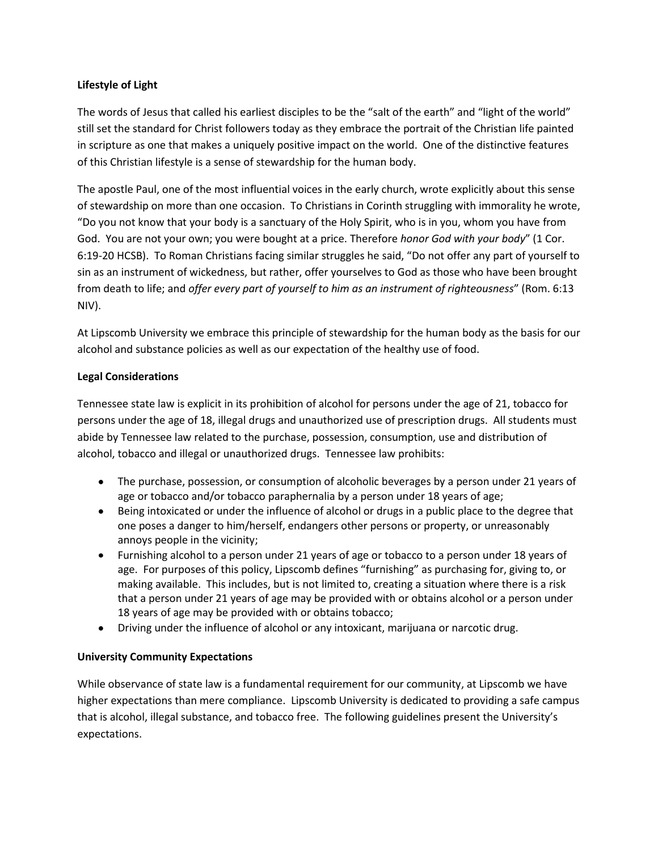# **Lifestyle of Light**

The words of Jesus that called his earliest disciples to be the "salt of the earth" and "light of the world" still set the standard for Christ followers today as they embrace the portrait of the Christian life painted in scripture as one that makes a uniquely positive impact on the world. One of the distinctive features of this Christian lifestyle is a sense of stewardship for the human body.

The apostle Paul, one of the most influential voices in the early church, wrote explicitly about this sense of stewardship on more than one occasion. To Christians in Corinth struggling with immorality he wrote, "Do you not know that your body is a sanctuary of the Holy Spirit, who is in you, whom you have from God. You are not your own; you were bought at a price. Therefore *honor God with your body*" (1 Cor. 6:19-20 HCSB). To Roman Christians facing similar struggles he said, "Do not offer any part of yourself to sin as an instrument of wickedness, but rather, offer yourselves to God as those who have been brought from death to life; and *offer every part of yourself to him as an instrument of righteousness*" (Rom. 6:13 NIV).

At Lipscomb University we embrace this principle of stewardship for the human body as the basis for our alcohol and substance policies as well as our expectation of the healthy use of food.

## **Legal Considerations**

Tennessee state law is explicit in its prohibition of alcohol for persons under the age of 21, tobacco for persons under the age of 18, illegal drugs and unauthorized use of prescription drugs. All students must abide by Tennessee law related to the purchase, possession, consumption, use and distribution of alcohol, tobacco and illegal or unauthorized drugs. Tennessee law prohibits:

- The purchase, possession, or consumption of alcoholic beverages by a person under 21 years of age or tobacco and/or tobacco paraphernalia by a person under 18 years of age;
- Being intoxicated or under the influence of alcohol or drugs in a public place to the degree that one poses a danger to him/herself, endangers other persons or property, or unreasonably annoys people in the vicinity;
- Furnishing alcohol to a person under 21 years of age or tobacco to a person under 18 years of age. For purposes of this policy, Lipscomb defines "furnishing" as purchasing for, giving to, or making available. This includes, but is not limited to, creating a situation where there is a risk that a person under 21 years of age may be provided with or obtains alcohol or a person under 18 years of age may be provided with or obtains tobacco;
- Driving under the influence of alcohol or any intoxicant, marijuana or narcotic drug.

### **University Community Expectations**

While observance of state law is a fundamental requirement for our community, at Lipscomb we have higher expectations than mere compliance. Lipscomb University is dedicated to providing a safe campus that is alcohol, illegal substance, and tobacco free. The following guidelines present the University's expectations.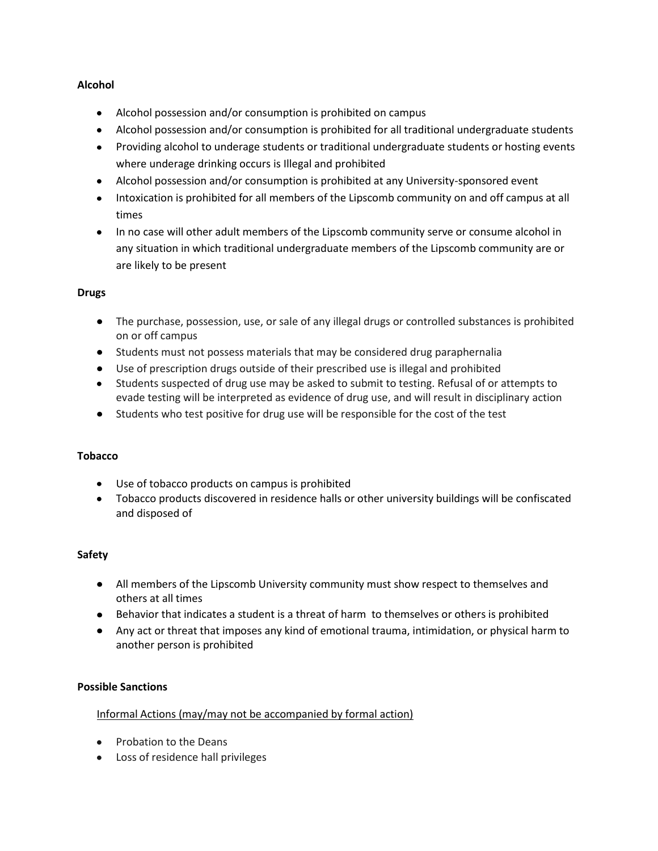## **Alcohol**

- Alcohol possession and/or consumption is prohibited on campus
- Alcohol possession and/or consumption is prohibited for all traditional undergraduate students
- Providing alcohol to underage students or traditional undergraduate students or hosting events where underage drinking occurs is Illegal and prohibited
- Alcohol possession and/or consumption is prohibited at any University-sponsored event
- Intoxication is prohibited for all members of the Lipscomb community on and off campus at all times
- In no case will other adult members of the Lipscomb community serve or consume alcohol in any situation in which traditional undergraduate members of the Lipscomb community are or are likely to be present

## **Drugs**

- The purchase, possession, use, or sale of any illegal drugs or controlled substances is prohibited on or off campus
- Students must not possess materials that may be considered drug paraphernalia
- Use of prescription drugs outside of their prescribed use is illegal and prohibited
- Students suspected of drug use may be asked to submit to testing. Refusal of or attempts to evade testing will be interpreted as evidence of drug use, and will result in disciplinary action
- Students who test positive for drug use will be responsible for the cost of the test

# **Tobacco**

- Use of tobacco products on campus is prohibited
- Tobacco products discovered in residence halls or other university buildings will be confiscated and disposed of

### **Safety**

- All members of the Lipscomb University community must show respect to themselves and others at all times
- Behavior that indicates a student is a threat of harm to themselves or others is prohibited
- Any act or threat that imposes any kind of emotional trauma, intimidation, or physical harm to another person is prohibited

### **Possible Sanctions**

### Informal Actions (may/may not be accompanied by formal action)

- Probation to the Deans
- Loss of residence hall privileges